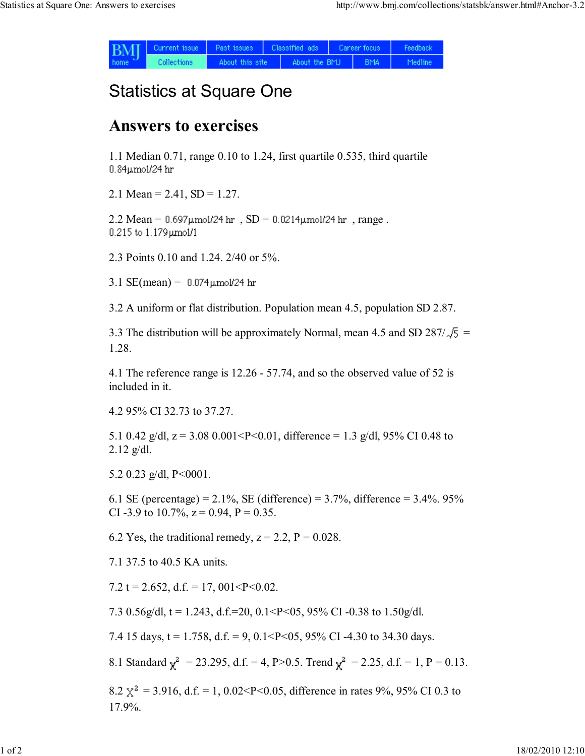| <b>BMI</b><br>home. | Current issue | Past issues     | Classified ads |               | Career focus |            | Feedback |
|---------------------|---------------|-----------------|----------------|---------------|--------------|------------|----------|
|                     | Collections   | About this site |                | About the BMJ |              | <b>BMA</b> | Medline  |

## Statistics at Square One

## Answers to exercises

1.1 Median 0.71, range 0.10 to 1.24, first quartile 0.535, third quartile 0.84µmol/24 hr

2.1 Mean =  $2.41$ , SD =  $1.27$ .

 $2.2$  Mean =  $0.697 \mu$ mol/24 hr,  $SD = 0.0214 \mu$ mol/24 hr, range.  $0.215$  to  $1.179$   $\mu$ mol/1

2.3 Points 0.10 and 1.24. 2/40 or 5%.

3.1  $SE(mean) = 0.074 \mu m o l / 24$  hr

3.2 A uniform or flat distribution. Population mean 4.5, population SD 2.87.

3.3 The distribution will be approximately Normal, mean 4.5 and SD 287/ $\sqrt{5}$  = 1.28.

4.1 The reference range is 12.26 - 57.74, and so the observed value of 52 is included in it.

4.2 95% CI 32.73 to 37.27.

5.1 0.42 g/dl,  $z = 3.08$  0.001<P<0.01, difference = 1.3 g/dl, 95% CI 0.48 to  $2.12$  g/dl.

5.2 0.23 g/dl,  $P < 0001$ .

6.1 SE (percentage) =  $2.1\%$ , SE (difference) =  $3.7\%$ , difference =  $3.4\%$ . 95% CI -3.9 to 10.7%,  $z = 0.94$ ,  $P = 0.35$ .

6.2 Yes, the traditional remedy,  $z = 2.2$ ,  $P = 0.028$ .

7.1 37.5 to 40.5 KA units.

7.2 t = 2.652, d.f. = 17, 001<P<0.02.

7.3 0.56g/dl,  $t = 1.243$ , d.f.=20, 0.1<P<05, 95% CI-0.38 to 1.50g/dl.

7.4 15 days,  $t = 1.758$ ,  $d.f. = 9$ ,  $0.1 < P < 0.5$ ,  $95\%$  CI -4.30 to 34.30 days.

8.1 Standard  $\gamma^2 = 23.295$ , d.f. = 4, P>0.5. Trend  $\gamma^2 = 2.25$ , d.f. = 1, P = 0.13.

8.2  $\chi^2$  = 3.916, d.f. = 1, 0.02<P<0.05, difference in rates 9%, 95% CI 0.3 to 17.9%.